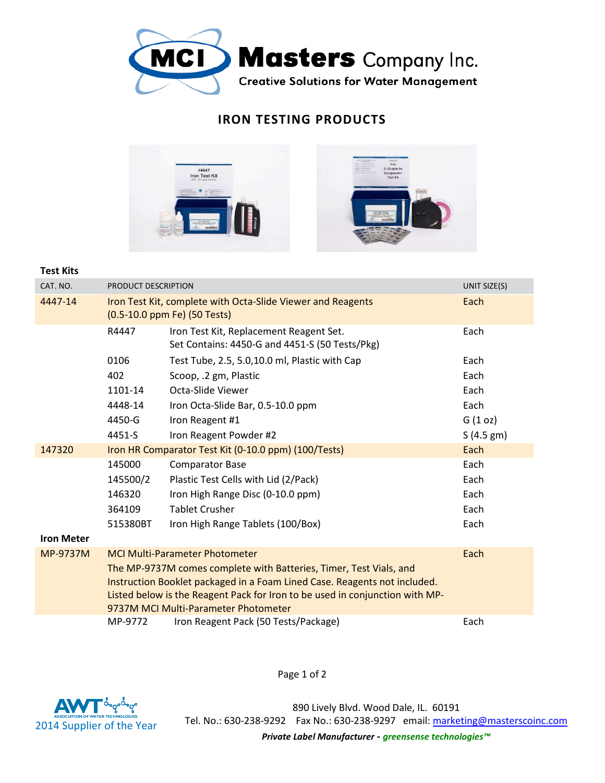

## **IRON TESTING PRODUCTS**



## **Test Kits**

| CAT. NO.          | PRODUCT DESCRIPTION                                                                                                                                                                               | UNIT SIZE(S)                                                                              |           |  |  |
|-------------------|---------------------------------------------------------------------------------------------------------------------------------------------------------------------------------------------------|-------------------------------------------------------------------------------------------|-----------|--|--|
| 4447-14           | Iron Test Kit, complete with Octa-Slide Viewer and Reagents<br>(0.5-10.0 ppm Fe) (50 Tests)                                                                                                       | Each                                                                                      |           |  |  |
|                   | R4447                                                                                                                                                                                             | Iron Test Kit, Replacement Reagent Set.<br>Set Contains: 4450-G and 4451-S (50 Tests/Pkg) | Each      |  |  |
|                   | 0106                                                                                                                                                                                              | Test Tube, 2.5, 5.0,10.0 ml, Plastic with Cap                                             | Each      |  |  |
|                   | 402                                                                                                                                                                                               | Scoop, .2 gm, Plastic                                                                     | Each      |  |  |
|                   | 1101-14                                                                                                                                                                                           | Octa-Slide Viewer                                                                         | Each      |  |  |
|                   | 4448-14                                                                                                                                                                                           | Iron Octa-Slide Bar, 0.5-10.0 ppm                                                         | Each      |  |  |
|                   | 4450-G                                                                                                                                                                                            | Iron Reagent #1                                                                           | G(1 oz)   |  |  |
|                   | 4451-S                                                                                                                                                                                            | Iron Reagent Powder #2                                                                    | S(4.5 gm) |  |  |
| 147320            | Each<br>Iron HR Comparator Test Kit (0-10.0 ppm) (100/Tests)                                                                                                                                      |                                                                                           |           |  |  |
|                   | 145000                                                                                                                                                                                            | <b>Comparator Base</b>                                                                    | Each      |  |  |
|                   | 145500/2                                                                                                                                                                                          | Plastic Test Cells with Lid (2/Pack)                                                      | Each      |  |  |
|                   | 146320                                                                                                                                                                                            | Iron High Range Disc (0-10.0 ppm)                                                         | Each      |  |  |
|                   | 364109                                                                                                                                                                                            | <b>Tablet Crusher</b>                                                                     | Each      |  |  |
|                   | 515380BT                                                                                                                                                                                          | Iron High Range Tablets (100/Box)                                                         | Each      |  |  |
| <b>Iron Meter</b> |                                                                                                                                                                                                   |                                                                                           |           |  |  |
| MP-9737M          | <b>MCI Multi-Parameter Photometer</b><br>Each                                                                                                                                                     |                                                                                           |           |  |  |
|                   | The MP-9737M comes complete with Batteries, Timer, Test Vials, and                                                                                                                                |                                                                                           |           |  |  |
|                   | Instruction Booklet packaged in a Foam Lined Case. Reagents not included.<br>Listed below is the Reagent Pack for Iron to be used in conjunction with MP-<br>9737M MCI Multi-Parameter Photometer |                                                                                           |           |  |  |
|                   |                                                                                                                                                                                                   |                                                                                           |           |  |  |
|                   | MP-9772                                                                                                                                                                                           | Iron Reagent Pack (50 Tests/Package)                                                      | Each      |  |  |

Page 1 of 2



890 Lively Blvd. Wood Dale, IL. 60191 Tel. No.: 630-238-9292 Fax No.: 630-238-9297 email: marketing@masterscoinc.com *Private Label Manufacturer - greensense technologies™*